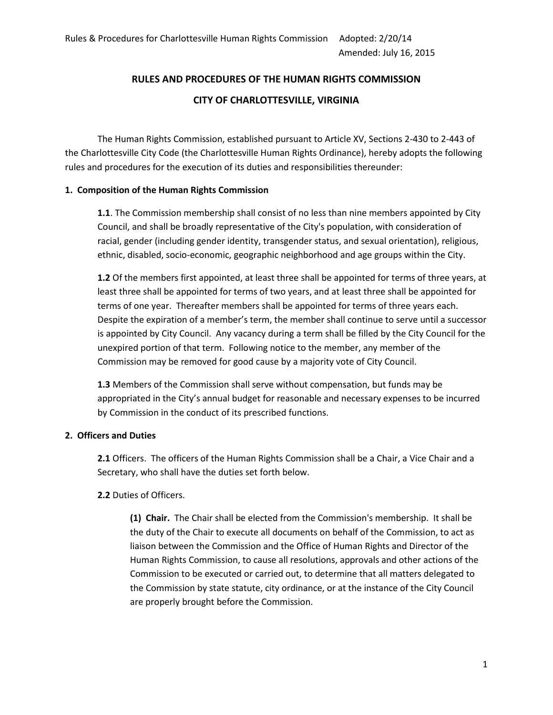# **RULES AND PROCEDURES OF THE HUMAN RIGHTS COMMISSION CITY OF CHARLOTTESVILLE, VIRGINIA**

The Human Rights Commission, established pursuant to Article XV, Sections 2-430 to 2-443 of the Charlottesville City Code (the Charlottesville Human Rights Ordinance), hereby adopts the following rules and procedures for the execution of its duties and responsibilities thereunder:

#### **1. Composition of the Human Rights Commission**

**1.1**. The Commission membership shall consist of no less than nine members appointed by City Council, and shall be broadly representative of the City's population, with consideration of racial, gender (including gender identity, transgender status, and sexual orientation), religious, ethnic, disabled, socio-economic, geographic neighborhood and age groups within the City.

**1.2** Of the members first appointed, at least three shall be appointed for terms of three years, at least three shall be appointed for terms of two years, and at least three shall be appointed for terms of one year. Thereafter members shall be appointed for terms of three years each. Despite the expiration of a member's term, the member shall continue to serve until a successor is appointed by City Council. Any vacancy during a term shall be filled by the City Council for the unexpired portion of that term. Following notice to the member, any member of the Commission may be removed for good cause by a majority vote of City Council.

**1.3** Members of the Commission shall serve without compensation, but funds may be appropriated in the City's annual budget for reasonable and necessary expenses to be incurred by Commission in the conduct of its prescribed functions.

#### **2. Officers and Duties**

**2.1** Officers. The officers of the Human Rights Commission shall be a Chair, a Vice Chair and a Secretary, who shall have the duties set forth below.

#### **2.2** Duties of Officers.

**(1) Chair.** The Chair shall be elected from the Commission's membership. It shall be the duty of the Chair to execute all documents on behalf of the Commission, to act as liaison between the Commission and the Office of Human Rights and Director of the Human Rights Commission, to cause all resolutions, approvals and other actions of the Commission to be executed or carried out, to determine that all matters delegated to the Commission by state statute, city ordinance, or at the instance of the City Council are properly brought before the Commission.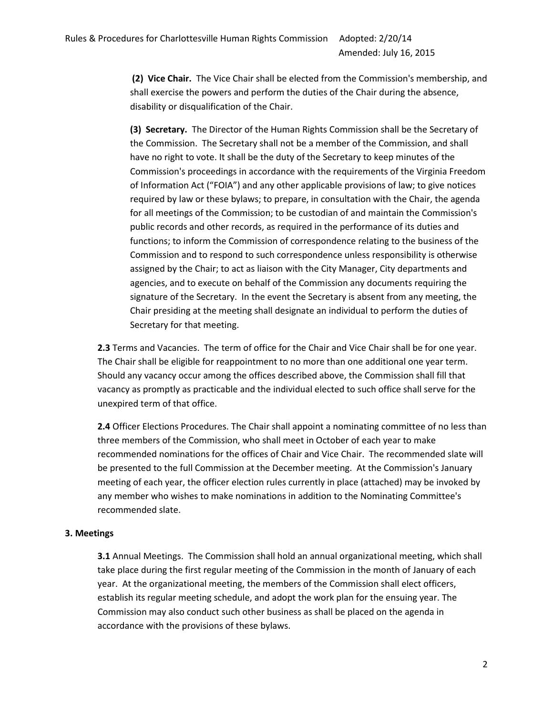**(2) Vice Chair.** The Vice Chair shall be elected from the Commission's membership, and shall exercise the powers and perform the duties of the Chair during the absence, disability or disqualification of the Chair.

**(3) Secretary.** The Director of the Human Rights Commission shall be the Secretary of the Commission. The Secretary shall not be a member of the Commission, and shall have no right to vote. It shall be the duty of the Secretary to keep minutes of the Commission's proceedings in accordance with the requirements of the Virginia Freedom of Information Act ("FOIA") and any other applicable provisions of law; to give notices required by law or these bylaws; to prepare, in consultation with the Chair, the agenda for all meetings of the Commission; to be custodian of and maintain the Commission's public records and other records, as required in the performance of its duties and functions; to inform the Commission of correspondence relating to the business of the Commission and to respond to such correspondence unless responsibility is otherwise assigned by the Chair; to act as liaison with the City Manager, City departments and agencies, and to execute on behalf of the Commission any documents requiring the signature of the Secretary. In the event the Secretary is absent from any meeting, the Chair presiding at the meeting shall designate an individual to perform the duties of Secretary for that meeting.

**2.3** Terms and Vacancies. The term of office for the Chair and Vice Chair shall be for one year. The Chair shall be eligible for reappointment to no more than one additional one year term. Should any vacancy occur among the offices described above, the Commission shall fill that vacancy as promptly as practicable and the individual elected to such office shall serve for the unexpired term of that office.

**2.4** Officer Elections Procedures. The Chair shall appoint a nominating committee of no less than three members of the Commission, who shall meet in October of each year to make recommended nominations for the offices of Chair and Vice Chair. The recommended slate will be presented to the full Commission at the December meeting. At the Commission's January meeting of each year, the officer election rules currently in place (attached) may be invoked by any member who wishes to make nominations in addition to the Nominating Committee's recommended slate.

#### **3. Meetings**

**3.1** Annual Meetings. The Commission shall hold an annual organizational meeting, which shall take place during the first regular meeting of the Commission in the month of January of each year. At the organizational meeting, the members of the Commission shall elect officers, establish its regular meeting schedule, and adopt the work plan for the ensuing year. The Commission may also conduct such other business as shall be placed on the agenda in accordance with the provisions of these bylaws.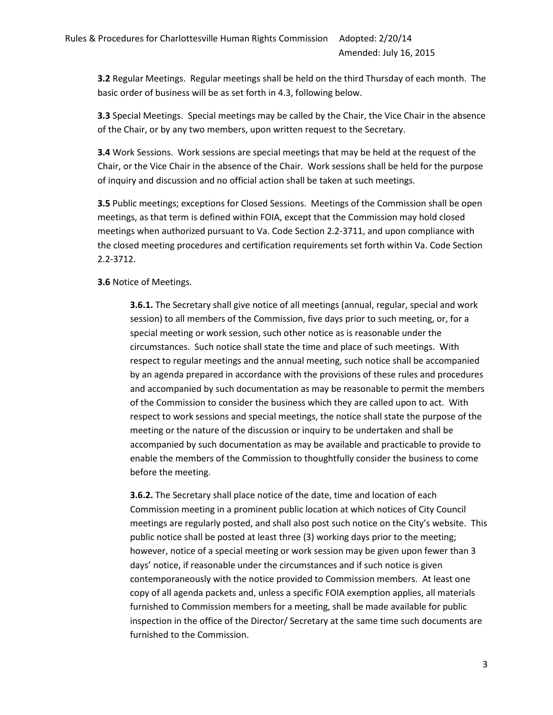**3.2** Regular Meetings. Regular meetings shall be held on the third Thursday of each month. The basic order of business will be as set forth in 4.3, following below.

**3.3** Special Meetings. Special meetings may be called by the Chair, the Vice Chair in the absence of the Chair, or by any two members, upon written request to the Secretary.

**3.4** Work Sessions. Work sessions are special meetings that may be held at the request of the Chair, or the Vice Chair in the absence of the Chair. Work sessions shall be held for the purpose of inquiry and discussion and no official action shall be taken at such meetings.

**3.5** Public meetings; exceptions for Closed Sessions. Meetings of the Commission shall be open meetings, as that term is defined within FOIA, except that the Commission may hold closed meetings when authorized pursuant to Va. Code Section 2.2-3711, and upon compliance with the closed meeting procedures and certification requirements set forth within Va. Code Section 2.2-3712.

#### **3.6** Notice of Meetings.

**3.6.1.** The Secretary shall give notice of all meetings (annual, regular, special and work session) to all members of the Commission, five days prior to such meeting, or, for a special meeting or work session, such other notice as is reasonable under the circumstances. Such notice shall state the time and place of such meetings. With respect to regular meetings and the annual meeting, such notice shall be accompanied by an agenda prepared in accordance with the provisions of these rules and procedures and accompanied by such documentation as may be reasonable to permit the members of the Commission to consider the business which they are called upon to act. With respect to work sessions and special meetings, the notice shall state the purpose of the meeting or the nature of the discussion or inquiry to be undertaken and shall be accompanied by such documentation as may be available and practicable to provide to enable the members of the Commission to thoughtfully consider the business to come before the meeting.

**3.6.2.** The Secretary shall place notice of the date, time and location of each Commission meeting in a prominent public location at which notices of City Council meetings are regularly posted, and shall also post such notice on the City's website. This public notice shall be posted at least three (3) working days prior to the meeting; however, notice of a special meeting or work session may be given upon fewer than 3 days' notice, if reasonable under the circumstances and if such notice is given contemporaneously with the notice provided to Commission members. At least one copy of all agenda packets and, unless a specific FOIA exemption applies, all materials furnished to Commission members for a meeting, shall be made available for public inspection in the office of the Director/ Secretary at the same time such documents are furnished to the Commission.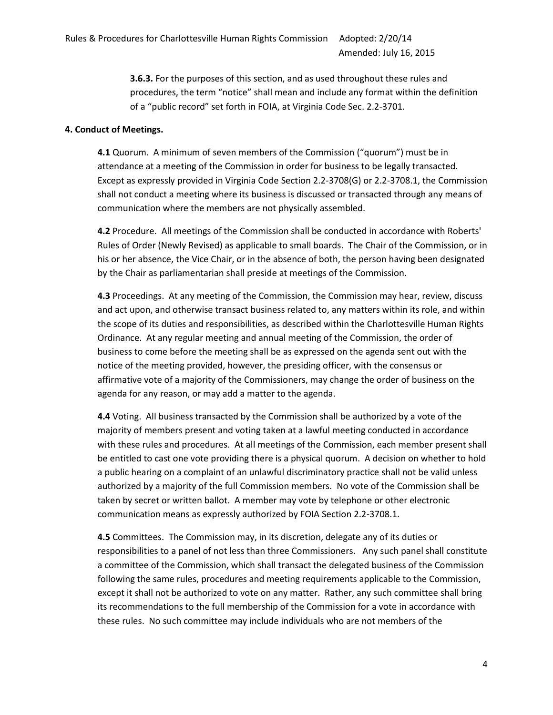**3.6.3.** For the purposes of this section, and as used throughout these rules and procedures, the term "notice" shall mean and include any format within the definition of a "public record" set forth in FOIA, at Virginia Code Sec. 2.2-3701.

#### **4. Conduct of Meetings.**

**4.1** Quorum. A minimum of seven members of the Commission ("quorum") must be in attendance at a meeting of the Commission in order for business to be legally transacted. Except as expressly provided in Virginia Code Section 2.2-3708(G) or 2.2-3708.1, the Commission shall not conduct a meeting where its business is discussed or transacted through any means of communication where the members are not physically assembled.

**4.2** Procedure. All meetings of the Commission shall be conducted in accordance with Roberts' Rules of Order (Newly Revised) as applicable to small boards. The Chair of the Commission, or in his or her absence, the Vice Chair, or in the absence of both, the person having been designated by the Chair as parliamentarian shall preside at meetings of the Commission.

**4.3** Proceedings. At any meeting of the Commission, the Commission may hear, review, discuss and act upon, and otherwise transact business related to, any matters within its role, and within the scope of its duties and responsibilities, as described within the Charlottesville Human Rights Ordinance. At any regular meeting and annual meeting of the Commission, the order of business to come before the meeting shall be as expressed on the agenda sent out with the notice of the meeting provided, however, the presiding officer, with the consensus or affirmative vote of a majority of the Commissioners, may change the order of business on the agenda for any reason, or may add a matter to the agenda.

**4.4** Voting. All business transacted by the Commission shall be authorized by a vote of the majority of members present and voting taken at a lawful meeting conducted in accordance with these rules and procedures. At all meetings of the Commission, each member present shall be entitled to cast one vote providing there is a physical quorum. A decision on whether to hold a public hearing on a complaint of an unlawful discriminatory practice shall not be valid unless authorized by a majority of the full Commission members. No vote of the Commission shall be taken by secret or written ballot. A member may vote by telephone or other electronic communication means as expressly authorized by FOIA Section 2.2-3708.1.

**4.5** Committees. The Commission may, in its discretion, delegate any of its duties or responsibilities to a panel of not less than three Commissioners. Any such panel shall constitute a committee of the Commission, which shall transact the delegated business of the Commission following the same rules, procedures and meeting requirements applicable to the Commission, except it shall not be authorized to vote on any matter. Rather, any such committee shall bring its recommendations to the full membership of the Commission for a vote in accordance with these rules. No such committee may include individuals who are not members of the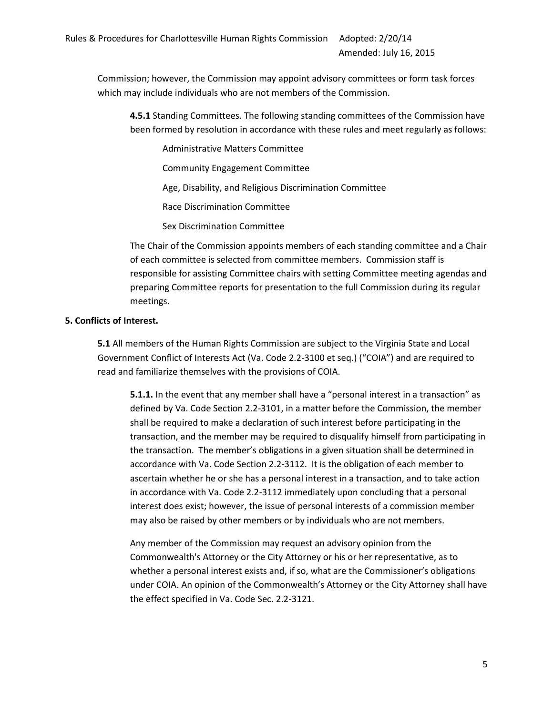Commission; however, the Commission may appoint advisory committees or form task forces which may include individuals who are not members of the Commission.

**4.5.1** Standing Committees. The following standing committees of the Commission have been formed by resolution in accordance with these rules and meet regularly as follows:

Administrative Matters Committee

Community Engagement Committee

Age, Disability, and Religious Discrimination Committee

Race Discrimination Committee

Sex Discrimination Committee

The Chair of the Commission appoints members of each standing committee and a Chair of each committee is selected from committee members. Commission staff is responsible for assisting Committee chairs with setting Committee meeting agendas and preparing Committee reports for presentation to the full Commission during its regular meetings.

#### **5. Conflicts of Interest.**

**5.1** All members of the Human Rights Commission are subject to the Virginia State and Local Government Conflict of Interests Act (Va. Code 2.2-3100 et seq.) ("COIA") and are required to read and familiarize themselves with the provisions of COIA.

**5.1.1.** In the event that any member shall have a "personal interest in a transaction" as defined by Va. Code Section 2.2-3101, in a matter before the Commission, the member shall be required to make a declaration of such interest before participating in the transaction, and the member may be required to disqualify himself from participating in the transaction. The member's obligations in a given situation shall be determined in accordance with Va. Code Section 2.2-3112. It is the obligation of each member to ascertain whether he or she has a personal interest in a transaction, and to take action in accordance with Va. Code 2.2-3112 immediately upon concluding that a personal interest does exist; however, the issue of personal interests of a commission member may also be raised by other members or by individuals who are not members.

Any member of the Commission may request an advisory opinion from the Commonwealth's Attorney or the City Attorney or his or her representative, as to whether a personal interest exists and, if so, what are the Commissioner's obligations under COIA. An opinion of the Commonwealth's Attorney or the City Attorney shall have the effect specified in Va. Code Sec. 2.2-3121.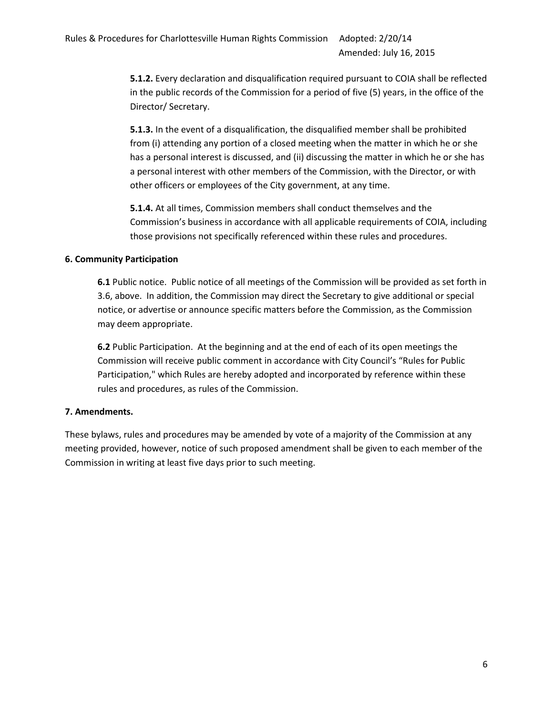**5.1.2.** Every declaration and disqualification required pursuant to COIA shall be reflected in the public records of the Commission for a period of five (5) years, in the office of the Director/ Secretary.

**5.1.3.** In the event of a disqualification, the disqualified member shall be prohibited from (i) attending any portion of a closed meeting when the matter in which he or she has a personal interest is discussed, and (ii) discussing the matter in which he or she has a personal interest with other members of the Commission, with the Director, or with other officers or employees of the City government, at any time.

**5.1.4.** At all times, Commission members shall conduct themselves and the Commission's business in accordance with all applicable requirements of COIA, including those provisions not specifically referenced within these rules and procedures.

#### **6. Community Participation**

**6.1** Public notice. Public notice of all meetings of the Commission will be provided as set forth in 3.6, above. In addition, the Commission may direct the Secretary to give additional or special notice, or advertise or announce specific matters before the Commission, as the Commission may deem appropriate.

**6.2** Public Participation. At the beginning and at the end of each of its open meetings the Commission will receive public comment in accordance with City Council's "Rules for Public Participation," which Rules are hereby adopted and incorporated by reference within these rules and procedures, as rules of the Commission.

#### **7. Amendments.**

These bylaws, rules and procedures may be amended by vote of a majority of the Commission at any meeting provided, however, notice of such proposed amendment shall be given to each member of the Commission in writing at least five days prior to such meeting.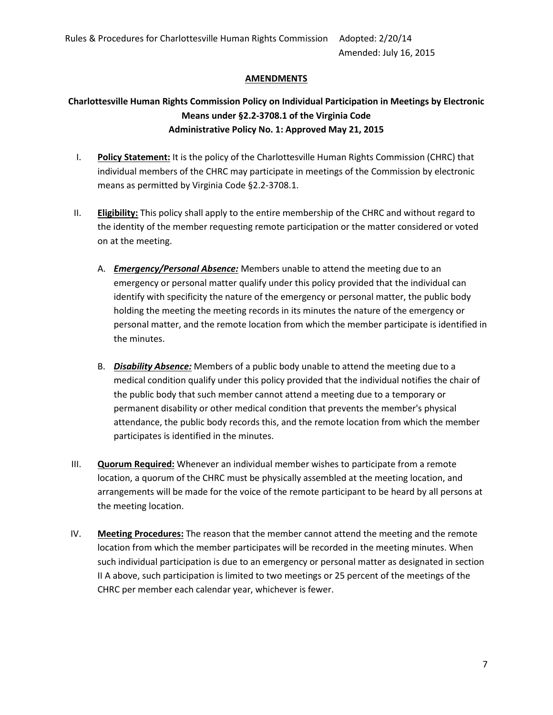#### **AMENDMENTS**

### **Charlottesville Human Rights Commission Policy on Individual Participation in Meetings by Electronic Means under §2.2-3708.1 of the Virginia Code Administrative Policy No. 1: Approved May 21, 2015**

- I. **Policy Statement:** It is the policy of the Charlottesville Human Rights Commission (CHRC) that individual members of the CHRC may participate in meetings of the Commission by electronic means as permitted by Virginia Code §2.2-3708.1.
- II. **Eligibility:** This policy shall apply to the entire membership of the CHRC and without regard to the identity of the member requesting remote participation or the matter considered or voted on at the meeting.
	- A. *Emergency/Personal Absence:* Members unable to attend the meeting due to an emergency or personal matter qualify under this policy provided that the individual can identify with specificity the nature of the emergency or personal matter, the public body holding the meeting the meeting records in its minutes the nature of the emergency or personal matter, and the remote location from which the member participate is identified in the minutes.
	- B. *Disability Absence:* Members of a public body unable to attend the meeting due to a medical condition qualify under this policy provided that the individual notifies the chair of the public body that such member cannot attend a meeting due to a temporary or permanent disability or other medical condition that prevents the member's physical attendance, the public body records this, and the remote location from which the member participates is identified in the minutes.
- III. **Quorum Required:** Whenever an individual member wishes to participate from a remote location, a quorum of the CHRC must be physically assembled at the meeting location, and arrangements will be made for the voice of the remote participant to be heard by all persons at the meeting location.
- IV. **Meeting Procedures:** The reason that the member cannot attend the meeting and the remote location from which the member participates will be recorded in the meeting minutes. When such individual participation is due to an emergency or personal matter as designated in section II A above, such participation is limited to two meetings or 25 percent of the meetings of the CHRC per member each calendar year, whichever is fewer.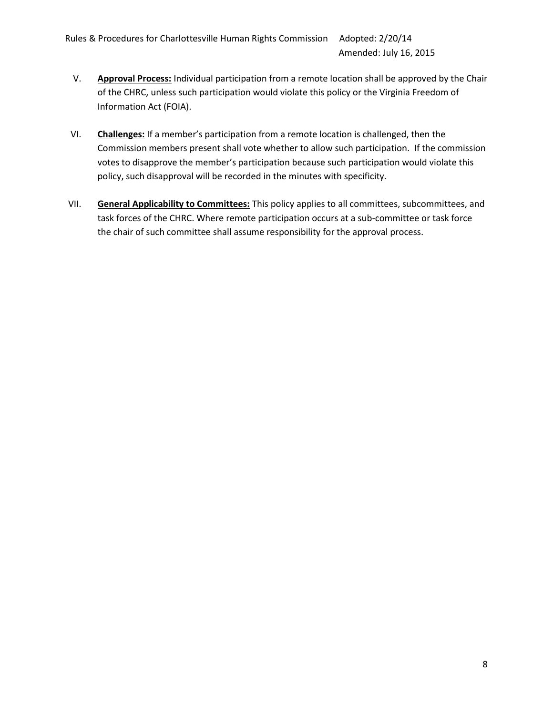- V. **Approval Process:** Individual participation from a remote location shall be approved by the Chair of the CHRC, unless such participation would violate this policy or the Virginia Freedom of Information Act (FOIA).
- VI. **Challenges:** If a member's participation from a remote location is challenged, then the Commission members present shall vote whether to allow such participation. If the commission votes to disapprove the member's participation because such participation would violate this policy, such disapproval will be recorded in the minutes with specificity.
- VII. **General Applicability to Committees:** This policy applies to all committees, subcommittees, and task forces of the CHRC. Where remote participation occurs at a sub-committee or task force the chair of such committee shall assume responsibility for the approval process.